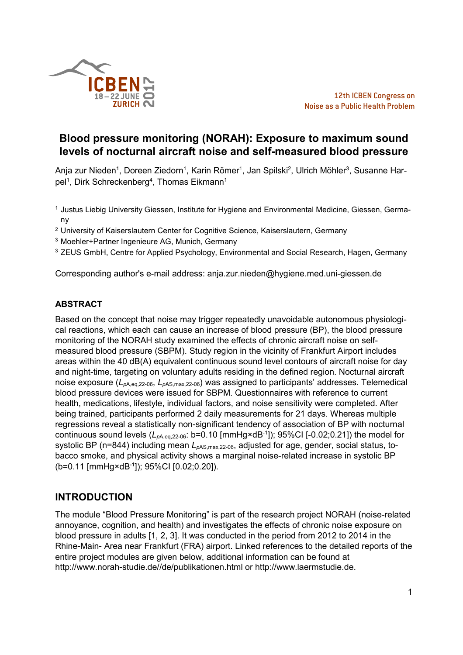

# **Blood pressure monitoring (NORAH): Exposure to maximum sound levels of nocturnal aircraft noise and self-measured blood pressure**

Anja zur Nieden<sup>1</sup>, Doreen Ziedorn<sup>1</sup>, Karin Römer<sup>1</sup>, Jan Spilski<sup>2</sup>, Ulrich Möhler<sup>3</sup>, Susanne Harpel<sup>1</sup>, Dirk Schreckenberg<sup>4</sup>, Thomas Eikmann<sup>1</sup>

- 1 Justus Liebig University Giessen, Institute for Hygiene and Environmental Medicine, Giessen, Germany
- <sup>2</sup> University of Kaiserslautern Center for Cognitive Science, Kaiserslautern, Germany
- <sup>3</sup> Moehler+Partner Ingenieure AG, Munich, Germany
- <sup>3</sup> ZEUS GmbH, Centre for Applied Psychology, Environmental and Social Research, Hagen, Germany

Corresponding author's e-mail address: anja.zur.nieden@hygiene.med.uni-giessen.de

## **ABSTRACT**

Based on the concept that noise may trigger repeatedly unavoidable autonomous physiological reactions, which each can cause an increase of blood pressure (BP), the blood pressure monitoring of the NORAH study examined the effects of chronic aircraft noise on selfmeasured blood pressure (SBPM). Study region in the vicinity of Frankfurt Airport includes areas within the 40 dB(A) equivalent continuous sound level contours of aircraft noise for day and night-time, targeting on voluntary adults residing in the defined region. Nocturnal aircraft noise exposure (*L<sup>p</sup>*A,eq,22-06, *L<sup>p</sup>*AS,max,22-06) was assigned to participants' addresses. Telemedical blood pressure devices were issued for SBPM. Questionnaires with reference to current health, medications, lifestyle, individual factors, and noise sensitivity were completed. After being trained, participants performed 2 daily measurements for 21 days. Whereas multiple regressions reveal a statistically non-significant tendency of association of BP with nocturnal continuous sound levels (*L<sup>p</sup>*A,eq,22-06: b=0.10 [mmHg×dB-1]); 95%CI [-0.02;0.21]) the model for systolic BP (n=844) including mean  $L_{pAS, max, 22-06}$ , adjusted for age, gender, social status, tobacco smoke, and physical activity shows a marginal noise-related increase in systolic BP (b=0.11 [mmHg×dB-1]); 95%CI [0.02;0.20]).

## **INTRODUCTION**

The module "Blood Pressure Monitoring" is part of the research project NORAH (noise-related annoyance, cognition, and health) and investigates the effects of chronic noise exposure on blood pressure in adults [1, 2, 3]. It was conducted in the period from 2012 to 2014 in the Rhine-Main- Area near Frankfurt (FRA) airport. Linked references to the detailed reports of the entire project modules are given below, additional information can be found at http://www.norah-studie.de//de/publikationen.html or http://www.laermstudie.de.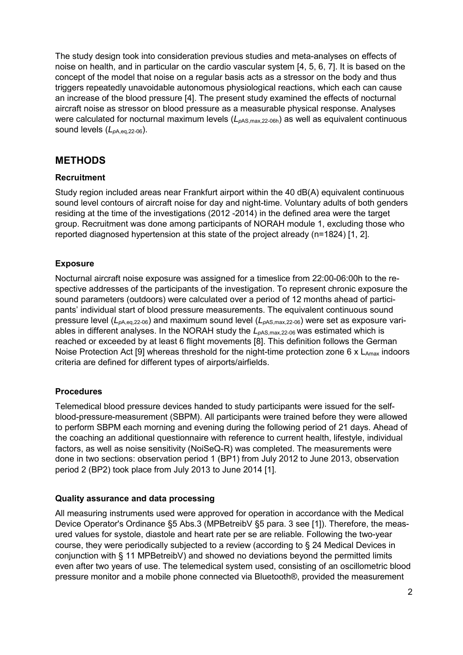The study design took into consideration previous studies and meta-analyses on effects of noise on health, and in particular on the cardio vascular system [4, 5, 6, 7]. It is based on the concept of the model that noise on a regular basis acts as a stressor on the body and thus triggers repeatedly unavoidable autonomous physiological reactions, which each can cause an increase of the blood pressure [4]. The present study examined the effects of nocturnal aircraft noise as stressor on blood pressure as a measurable physical response. Analyses were calculated for nocturnal maximum levels ( $L_{pAS, max, 22-06h}$ ) as well as equivalent continuous sound levels (*L<sup>p</sup>*A,eq,22-06).

## **METHODS**

## **Recruitment**

Study region included areas near Frankfurt airport within the 40 dB(A) equivalent continuous sound level contours of aircraft noise for day and night-time. Voluntary adults of both genders residing at the time of the investigations (2012 -2014) in the defined area were the target group. Recruitment was done among participants of NORAH module 1, excluding those who reported diagnosed hypertension at this state of the project already (n=1824) [1, 2].

## **Exposure**

Nocturnal aircraft noise exposure was assigned for a timeslice from 22:00-06:00h to the respective addresses of the participants of the investigation. To represent chronic exposure the sound parameters (outdoors) were calculated over a period of 12 months ahead of participants' individual start of blood pressure measurements. The equivalent continuous sound pressure level (*Lp*A,eq,22-06) and maximum sound level (*Lp*AS,max,22-06) were set as exposure variables in different analyses. In the NORAH study the  $L_{\text{pAS,max,22-06}}$  was estimated which is reached or exceeded by at least 6 flight movements [8]. This definition follows the German Noise Protection Act [9] whereas threshold for the night-time protection zone 6 x  $L_{Amax}$  indoors criteria are defined for different types of airports/airfields.

## **Procedures**

Telemedical blood pressure devices handed to study participants were issued for the selfblood-pressure-measurement (SBPM). All participants were trained before they were allowed to perform SBPM each morning and evening during the following period of 21 days. Ahead of the coaching an additional questionnaire with reference to current health, lifestyle, individual factors, as well as noise sensitivity (NoiSeQ-R) was completed. The measurements were done in two sections: observation period 1 (BP1) from July 2012 to June 2013, observation period 2 (BP2) took place from July 2013 to June 2014 [1].

### **Quality assurance and data processing**

All measuring instruments used were approved for operation in accordance with the Medical Device Operator's Ordinance §5 Abs.3 (MPBetreibV §5 para. 3 see [1]). Therefore, the measured values for systole, diastole and heart rate per se are reliable. Following the two-year course, they were periodically subjected to a review (according to § 24 Medical Devices in conjunction with § 11 MPBetreibV) and showed no deviations beyond the permitted limits even after two years of use. The telemedical system used, consisting of an oscillometric blood pressure monitor and a mobile phone connected via Bluetooth®, provided the measurement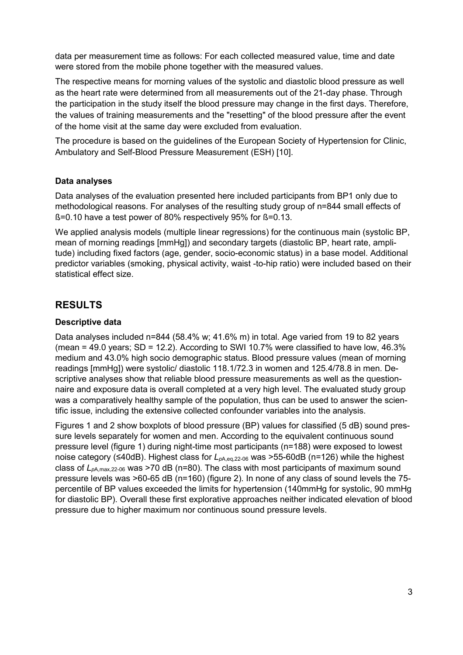data per measurement time as follows: For each collected measured value, time and date were stored from the mobile phone together with the measured values.

The respective means for morning values of the systolic and diastolic blood pressure as well as the heart rate were determined from all measurements out of the 21-day phase. Through the participation in the study itself the blood pressure may change in the first days. Therefore, the values of training measurements and the "resetting" of the blood pressure after the event of the home visit at the same day were excluded from evaluation.

The procedure is based on the guidelines of the European Society of Hypertension for Clinic, Ambulatory and Self-Blood Pressure Measurement (ESH) [10].

#### **Data analyses**

Data analyses of the evaluation presented here included participants from BP1 only due to methodological reasons. For analyses of the resulting study group of n=844 small effects of ß=0.10 have a test power of 80% respectively 95% for ß=0.13.

We applied analysis models (multiple linear regressions) for the continuous main (systolic BP, mean of morning readings [mmHg]) and secondary targets (diastolic BP, heart rate, amplitude) including fixed factors (age, gender, socio-economic status) in a base model. Additional predictor variables (smoking, physical activity, waist -to-hip ratio) were included based on their statistical effect size.

## **RESULTS**

#### **Descriptive data**

Data analyses included n=844 (58.4% w; 41.6% m) in total. Age varied from 19 to 82 years (mean  $= 49.0$  years;  $SD = 12.2$ ). According to SWI 10.7% were classified to have low, 46.3% medium and 43.0% high socio demographic status. Blood pressure values (mean of morning readings [mmHg]) were systolic/ diastolic 118.1/72.3 in women and 125.4/78.8 in men. Descriptive analyses show that reliable blood pressure measurements as well as the questionnaire and exposure data is overall completed at a very high level. The evaluated study group was a comparatively healthy sample of the population, thus can be used to answer the scientific issue, including the extensive collected confounder variables into the analysis.

Figures 1 and 2 show boxplots of blood pressure (BP) values for classified (5 dB) sound pressure levels separately for women and men. According to the equivalent continuous sound pressure level (figure 1) during night-time most participants (n=188) were exposed to lowest noise category (≤40dB). Highest class for *L*<sub>*pA,eq,22-06* was >55-60dB (n=126) while the highest</sub> class of *L<sup>p</sup>*A,max,22-06 was >70 dB (n=80). The class with most participants of maximum sound pressure levels was >60-65 dB (n=160) (figure 2). In none of any class of sound levels the 75 percentile of BP values exceeded the limits for hypertension (140mmHg for systolic, 90 mmHg for diastolic BP). Overall these first explorative approaches neither indicated elevation of blood pressure due to higher maximum nor continuous sound pressure levels.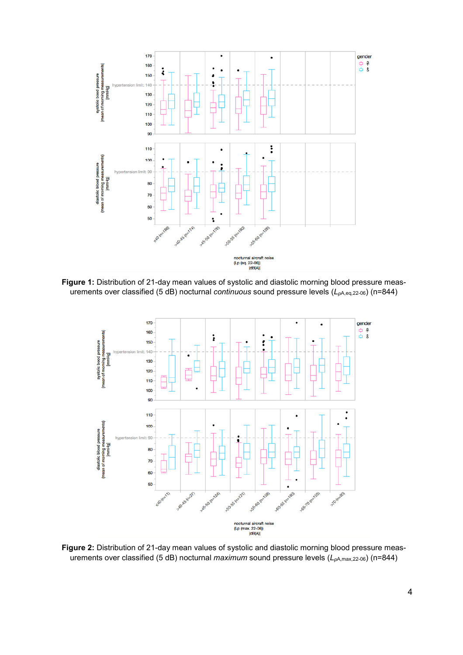

**Figure 1:** Distribution of 21-day mean values of systolic and diastolic morning blood pressure measurements over classified (5 dB) nocturnal *continuous* sound pressure levels (*Lp*A,eq,22-06) (n=844)



**Figure 2:** Distribution of 21-day mean values of systolic and diastolic morning blood pressure measurements over classified (5 dB) nocturnal *maximum* sound pressure levels (*Lp*A,max,22-06) (n=844)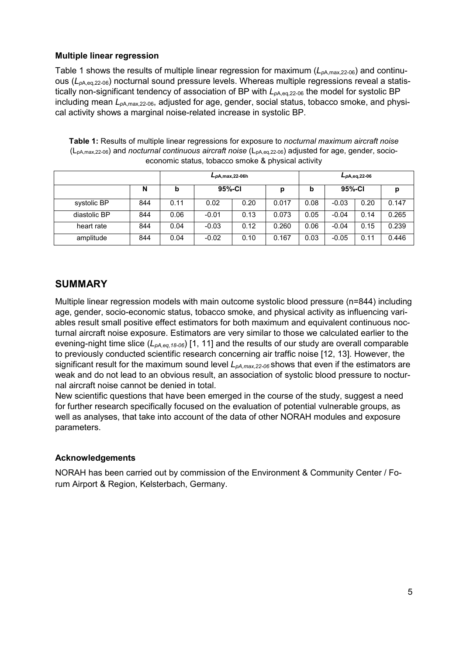### **Multiple linear regression**

Table 1 shows the results of multiple linear regression for maximum (*Lp*A,max,22-06) and continuous (*Lp*A,eq,22-06) nocturnal sound pressure levels. Whereas multiple regressions reveal a statistically non-significant tendency of association of BP with  $L_{pA,eq,22-06}$  the model for systolic BP including mean *Lp*A,max,22-06, adjusted for age, gender, social status, tobacco smoke, and physical activity shows a marginal noise-related increase in systolic BP.

| Table 1: Results of multiple linear regressions for exposure to nocturnal maximum aircraft noise                                        |
|-----------------------------------------------------------------------------------------------------------------------------------------|
| (L <sub>pA,max,22-06</sub> ) and <i>nocturnal continuous aircraft noise</i> (L <sub>pA,eq,22-06) adjusted for age, gender, socio-</sub> |
| economic status, tobacco smoke & physical activity                                                                                      |

|              |     | $L_{pA, max, 22-06h}$ |         |      |       | $L_{pA,eq,22-06}$ |         |      |       |
|--------------|-----|-----------------------|---------|------|-------|-------------------|---------|------|-------|
|              | N   | b                     | 95%-CI  |      | p     | b                 | 95%-CI  |      |       |
| systolic BP  | 844 | 0.11                  | 0.02    | 0.20 | 0.017 | 0.08              | $-0.03$ | 0.20 | 0.147 |
| diastolic BP | 844 | 0.06                  | $-0.01$ | 0.13 | 0.073 | 0.05              | $-0.04$ | 0.14 | 0.265 |
| heart rate   | 844 | 0.04                  | $-0.03$ | 0.12 | 0.260 | 0.06              | $-0.04$ | 0.15 | 0.239 |
| amplitude    | 844 | 0.04                  | $-0.02$ | 0.10 | 0.167 | 0.03              | $-0.05$ | 0.11 | 0.446 |

## **SUMMARY**

Multiple linear regression models with main outcome systolic blood pressure (n=844) including age, gender, socio-economic status, tobacco smoke, and physical activity as influencing variables result small positive effect estimators for both maximum and equivalent continuous nocturnal aircraft noise exposure. Estimators are very similar to those we calculated earlier to the evening-night time slice (*LpA,eq,18-06*) [1, 11] and the results of our study are overall comparable to previously conducted scientific research concerning air traffic noise [12, 13]. However, the significant result for the maximum sound level *LpA,max,22-06* shows that even if the estimators are weak and do not lead to an obvious result, an association of systolic blood pressure to nocturnal aircraft noise cannot be denied in total.

New scientific questions that have been emerged in the course of the study, suggest a need for further research specifically focused on the evaluation of potential vulnerable groups, as well as analyses, that take into account of the data of other NORAH modules and exposure parameters.

### **Acknowledgements**

NORAH has been carried out by commission of the Environment & Community Center / Forum Airport & Region, Kelsterbach, Germany.